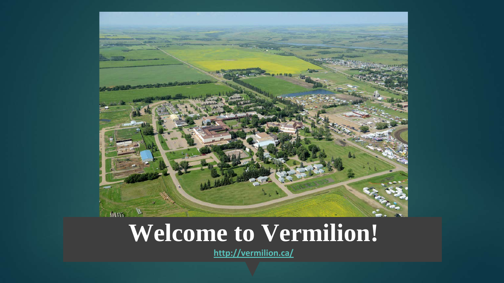

#### **Welcome to Vermilion!**

**<http://vermilion.ca/>**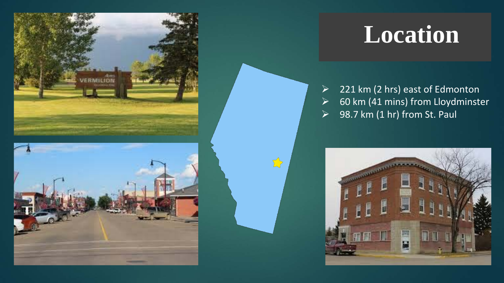



### **Location**

 $\geq$  221 km (2 hrs) east of Edmonton  $\geq$  60 km (41 mins) from Lloydminster  $\geq$  98.7 km (1 hr) from St. Paul



 $\sum$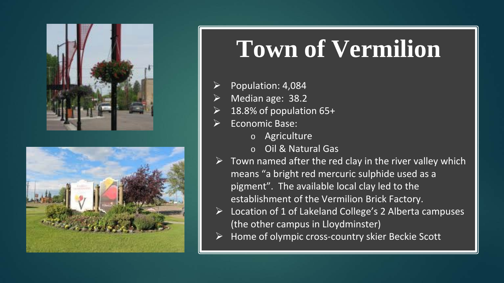



## **Town of Vermilion**

- Population: 4,084
- Median age: 38.2
- 18.8% of population 65+
- Economic Base:
	- o Agriculture
	- o Oil & Natural Gas
- $\triangleright$  Town named after the red clay in the river valley which means "a bright red mercuric sulphide used as a pigment". The available local clay led to the establishment of the Vermilion Brick Factory.
- $\triangleright$  Location of 1 of Lakeland College's 2 Alberta campuses (the other campus in Lloydminster)
- Home of olympic cross-country skier Beckie Scott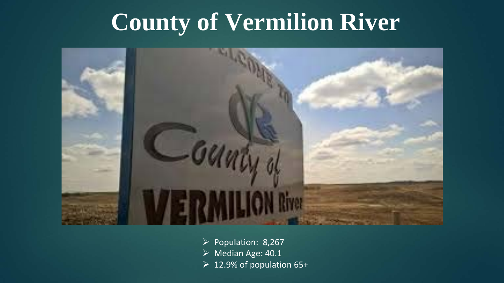#### **County of Vermilion River**



- $\triangleright$  Population: 8,267
- Median Age: 40.1
- $\geq 12.9\%$  of population 65+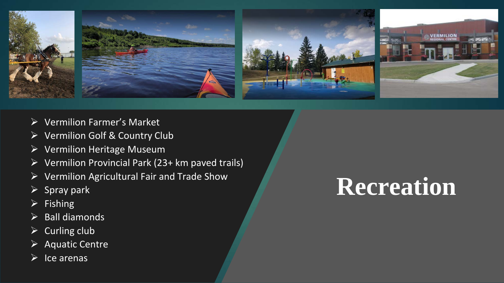

- Vermilion Farmer's Market
- Vermilion Golf & Country Club
- $\triangleright$  Vermilion Heritage Museum
- Vermilion Provincial Park (23+ km paved trails)
- $\triangleright$  Vermilion Agricultural Fair and Trade Show
- $\triangleright$  Spray park
- $\triangleright$  Fishing
- $\triangleright$  Ball diamonds
- $\triangleright$  Curling club
- $\triangleright$  Aquatic Centre
- Ice arenas

## **Recreation**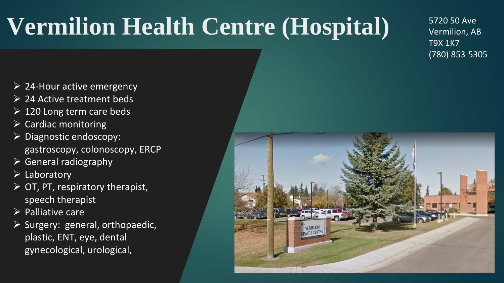# **Vermilion Health Centre (Hospital)**

5720 50 Ave Vermilion, AB T9X 1K7 (780) 853-5305

- $\geq$  24-Hour active emergency
- $\triangleright$  24 Active treatment beds
- $\geq 120$  Long term care beds
- $\triangleright$  Cardiac monitoring
- Diagnostic endoscopy: gastroscopy, colonoscopy, ERCP
- $\triangleright$  General radiography
- $\triangleright$  Laboratory
- $\triangleright$  OT, PT, respiratory therapist, speech therapist
- $\triangleright$  Palliative care
- $\triangleright$  Surgery: general, orthopaedic, plastic, ENT, eye, dental gynecological, urological,